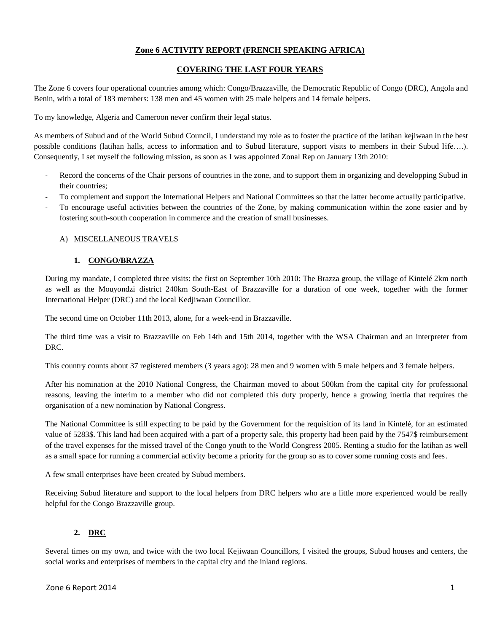# **Zone 6 ACTIVITY REPORT (FRENCH SPEAKING AFRICA)**

# **COVERING THE LAST FOUR YEARS**

The Zone 6 covers four operational countries among which: Congo/Brazzaville, the Democratic Republic of Congo (DRC), Angola and Benin, with a total of 183 members: 138 men and 45 women with 25 male helpers and 14 female helpers.

To my knowledge, Algeria and Cameroon never confirm their legal status.

As members of Subud and of the World Subud Council, I understand my role as to foster the practice of the latihan kejiwaan in the best possible conditions (latihan halls, access to information and to Subud literature, support visits to members in their Subud life….). Consequently, I set myself the following mission, as soon as I was appointed Zonal Rep on January 13th 2010:

- Record the concerns of the Chair persons of countries in the zone, and to support them in organizing and developping Subud in their countries;
- To complement and support the International Helpers and National Committees so that the latter become actually participative.
- To encourage useful activities between the countries of the Zone, by making communication within the zone easier and by fostering south-south cooperation in commerce and the creation of small businesses.

## A) MISCELLANEOUS TRAVELS

## **1. CONGO/BRAZZA**

During my mandate, I completed three visits: the first on September 10th 2010: The Brazza group, the village of Kintelé 2km north as well as the Mouyondzi district 240km South-East of Brazzaville for a duration of one week, together with the former International Helper (DRC) and the local Kedjiwaan Councillor.

The second time on October 11th 2013, alone, for a week-end in Brazzaville.

The third time was a visit to Brazzaville on Feb 14th and 15th 2014, together with the WSA Chairman and an interpreter from DRC.

This country counts about 37 registered members (3 years ago): 28 men and 9 women with 5 male helpers and 3 female helpers.

After his nomination at the 2010 National Congress, the Chairman moved to about 500km from the capital city for professional reasons, leaving the interim to a member who did not completed this duty properly, hence a growing inertia that requires the organisation of a new nomination by National Congress.

The National Committee is still expecting to be paid by the Government for the requisition of its land in Kintelé, for an estimated value of 5283\$. This land had been acquired with a part of a property sale, this property had been paid by the 7547\$ reimbursement of the travel expenses for the missed travel of the Congo youth to the World Congress 2005. Renting a studio for the latihan as well as a small space for running a commercial activity become a priority for the group so as to cover some running costs and fees.

A few small enterprises have been created by Subud members.

Receiving Subud literature and support to the local helpers from DRC helpers who are a little more experienced would be really helpful for the Congo Brazzaville group.

# **2. DRC**

Several times on my own, and twice with the two local Kejiwaan Councillors, I visited the groups, Subud houses and centers, the social works and enterprises of members in the capital city and the inland regions.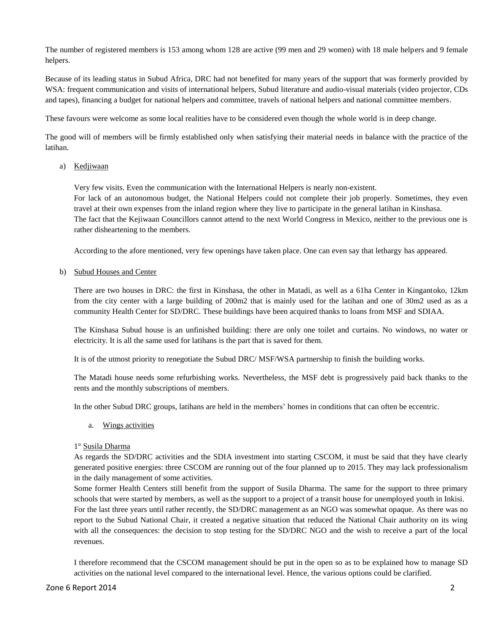The number of registered members is 153 among whom 128 are active (99 men and 29 women) with 18 male helpers and 9 female helpers.

Because of its leading status in Subud Africa, DRC had not benefited for many years of the support that was formerly provided by WSA: frequent communication and visits of international helpers, Subud literature and audio-visual materials (video projector, CDs and tapes), financing a budget for national helpers and committee, travels of national helpers and national committee members.

These favours were welcome as some local realities have to be considered even though the whole world is in deep change.

The good will of members will be firmly established only when satisfying their material needs in balance with the practice of the latihan.

## a) Kedjiwaan

Very few visits. Even the communication with the International Helpers is nearly non-existent. For lack of an autonomous budget, the National Helpers could not complete their job properly. Sometimes, they even travel at their own expenses from the inland region where they live to participate in the general latihan in Kinshasa. The fact that the Kejiwaan Councillors cannot attend to the next World Congress in Mexico, neither to the previous one is rather disheartening to the members.

According to the afore mentioned, very few openings have taken place. One can even say that lethargy has appeared.

#### b) Subud Houses and Center

There are two houses in DRC: the first in Kinshasa, the other in Matadi, as well as a 61ha Center in Kingantoko, 12km from the city center with a large building of 200m2 that is mainly used for the latihan and one of 30m2 used as as a community Health Center for SD/DRC. These buildings have been acquired thanks to loans from MSF and SDIAA.

The Kinshasa Subud house is an unfinished building: there are only one toilet and curtains. No windows, no water or electricity. It is all the same used for latihans is the part that is saved for them.

It is of the utmost priority to renegotiate the Subud DRC/ MSF/WSA partnership to finish the building works.

The Matadi house needs some refurbishing works. Nevertheless, the MSF debt is progressively paid back thanks to the rents and the monthly subscriptions of members.

In the other Subud DRC groups, latihans are held in the members' homes in conditions that can often be eccentric.

a. Wings activities

#### 1° Susila Dharma

As regards the SD/DRC activities and the SDIA investment into starting CSCOM, it must be said that they have clearly generated positive energies: three CSCOM are running out of the four planned up to 2015. They may lack professionalism in the daily management of some activities.

Some former Health Centers still benefit from the support of Susila Dharma. The same for the support to three primary schools that were started by members, as well as the support to a project of a transit house for unemployed youth in Inkisi. For the last three years until rather recently, the SD/DRC management as an NGO was somewhat opaque. As there was no report to the Subud National Chair, it created a negative situation that reduced the National Chair authority on its wing with all the consequences: the decision to stop testing for the SD/DRC NGO and the wish to receive a part of the local revenues.

I therefore recommend that the CSCOM management should be put in the open so as to be explained how to manage SD activities on the national level compared to the international level. Hence, the various options could be clarified.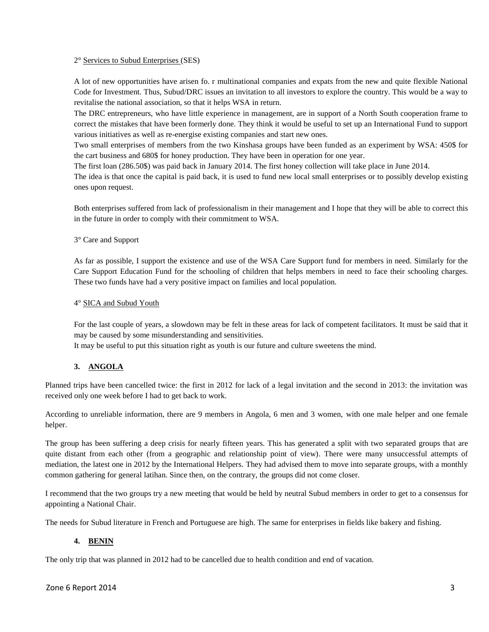#### 2° Services to Subud Enterprises (SES)

A lot of new opportunities have arisen fo. r multinational companies and expats from the new and quite flexible National Code for Investment. Thus, Subud/DRC issues an invitation to all investors to explore the country. This would be a way to revitalise the national association, so that it helps WSA in return.

The DRC entrepreneurs, who have little experience in management, are in support of a North South cooperation frame to correct the mistakes that have been formerly done. They think it would be useful to set up an International Fund to support various initiatives as well as re-energise existing companies and start new ones.

Two small enterprises of members from the two Kinshasa groups have been funded as an experiment by WSA: 450\$ for the cart business and 680\$ for honey production. They have been in operation for one year.

The first loan (286.50\$) was paid back in January 2014. The first honey collection will take place in June 2014.

The idea is that once the capital is paid back, it is used to fund new local small enterprises or to possibly develop existing ones upon request.

Both enterprises suffered from lack of professionalism in their management and I hope that they will be able to correct this in the future in order to comply with their commitment to WSA.

3° Care and Support

As far as possible, I support the existence and use of the WSA Care Support fund for members in need. Similarly for the Care Support Education Fund for the schooling of children that helps members in need to face their schooling charges. These two funds have had a very positive impact on families and local population.

#### 4° SICA and Subud Youth

For the last couple of years, a slowdown may be felt in these areas for lack of competent facilitators. It must be said that it may be caused by some misunderstanding and sensitivities.

It may be useful to put this situation right as youth is our future and culture sweetens the mind.

#### **3. ANGOLA**

Planned trips have been cancelled twice: the first in 2012 for lack of a legal invitation and the second in 2013: the invitation was received only one week before I had to get back to work.

According to unreliable information, there are 9 members in Angola, 6 men and 3 women, with one male helper and one female helper.

The group has been suffering a deep crisis for nearly fifteen years. This has generated a split with two separated groups that are quite distant from each other (from a geographic and relationship point of view). There were many unsuccessful attempts of mediation, the latest one in 2012 by the International Helpers. They had advised them to move into separate groups, with a monthly common gathering for general latihan. Since then, on the contrary, the groups did not come closer.

I recommend that the two groups try a new meeting that would be held by neutral Subud members in order to get to a consensus for appointing a National Chair.

The needs for Subud literature in French and Portuguese are high. The same for enterprises in fields like bakery and fishing.

#### **4. BENIN**

The only trip that was planned in 2012 had to be cancelled due to health condition and end of vacation.